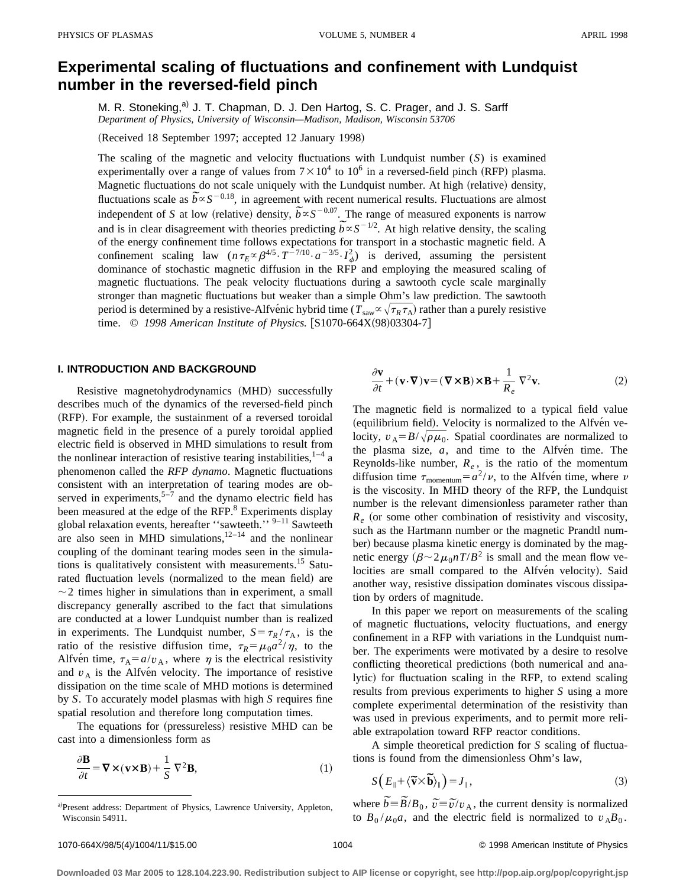# **Experimental scaling of fluctuations and confinement with Lundquist number in the reversed-field pinch**

M. R. Stoneking,<sup>a)</sup> J. T. Chapman, D. J. Den Hartog, S. C. Prager, and J. S. Sarff *Department of Physics, University of Wisconsin—Madison, Madison, Wisconsin 53706*

(Received 18 September 1997; accepted 12 January 1998)

The scaling of the magnetic and velocity fluctuations with Lundquist number (*S*) is examined experimentally over a range of values from  $7 \times 10^4$  to  $10^6$  in a reversed-field pinch (RFP) plasma. Magnetic fluctuations do not scale uniquely with the Lundquist number. At high (relative) density, Magnetic fluctuations do not scale uniquely with the Lundquist number. At high (relative) density,<br>fluctuations scale as  $\tilde{b} \propto S^{-0.18}$ , in agreement with recent numerical results. Fluctuations are almost fluctuations scale as  $b \propto S^{3/2}$ , in agreement with recent numerical results. Fluctuations are almost independent of *S* at low (relative) density,  $b \propto S^{-0.07}$ . The range of measured exponents is narrow independent of *S* at low (relative) density,  $b \propto S^{-3/2}$ . The range of measured exponents is narrow and is in clear disagreement with theories predicting  $b \propto S^{-1/2}$ . At high relative density, the scaling of the energy confinement time follows expectations for transport in a stochastic magnetic field. A confinement scaling law  $(n \tau_E \propto \beta^{4/5} \cdot T^{-7/10} \cdot a^{-3/5} \cdot I_{\phi}^2)$  is derived, assuming the persistent dominance of stochastic magnetic diffusion in the RFP and employing the measured scaling of magnetic fluctuations. The peak velocity fluctuations during a sawtooth cycle scale marginally stronger than magnetic fluctuations but weaker than a simple Ohm's law prediction. The sawtooth period is determined by a resistive-Alfvénic hybrid time ( $T_{\text{sav}} \propto \sqrt{\tau_R \tau_A}$ ) rather than a purely resistive time. © 1998 American Institute of Physics. [S1070-664X(98)03304-7]

## **I. INTRODUCTION AND BACKGROUND**

Resistive magnetohydrodynamics (MHD) successfully describes much of the dynamics of the reversed-field pinch (RFP). For example, the sustainment of a reversed toroidal magnetic field in the presence of a purely toroidal applied electric field is observed in MHD simulations to result from the nonlinear interaction of resistive tearing instabilities,  $1-4$  a phenomenon called the *RFP dynamo*. Magnetic fluctuations consistent with an interpretation of tearing modes are observed in experiments, $5-7$  and the dynamo electric field has been measured at the edge of the RFP.<sup>8</sup> Experiments display global relaxation events, hereafter ''sawteeth.'' 9–11 Sawteeth are also seen in MHD simulations,  $12-14$  and the nonlinear coupling of the dominant tearing modes seen in the simulations is qualitatively consistent with measurements.<sup>15</sup> Saturated fluctuation levels (normalized to the mean field) are  $\sim$  2 times higher in simulations than in experiment, a small discrepancy generally ascribed to the fact that simulations are conducted at a lower Lundquist number than is realized in experiments. The Lundquist number,  $S = \tau_R / \tau_A$ , is the ratio of the resistive diffusion time,  $\tau_R = \mu_0 a^2/\eta$ , to the Alfvén time,  $\tau_A = a/v_A$ , where  $\eta$  is the electrical resistivity and  $v_A$  is the Alfve<sup>n</sup> velocity. The importance of resistive dissipation on the time scale of MHD motions is determined by *S*. To accurately model plasmas with high *S* requires fine spatial resolution and therefore long computation times.

The equations for (pressureless) resistive MHD can be cast into a dimensionless form as

$$
\frac{\partial \mathbf{B}}{\partial t} = \nabla \times (\mathbf{v} \times \mathbf{B}) + \frac{1}{S} \nabla^2 \mathbf{B},\tag{1}
$$

$$
\frac{\partial \mathbf{v}}{\partial t} + (\mathbf{v} \cdot \nabla) \mathbf{v} = (\nabla \times \mathbf{B}) \times \mathbf{B} + \frac{1}{R_e} \nabla^2 \mathbf{v}.
$$
 (2)

The magnetic field is normalized to a typical field value (equilibrium field). Velocity is normalized to the Alfvén velocity,  $v_A = B/\sqrt{\rho \mu_0}$ . Spatial coordinates are normalized to the plasma size,  $a$ , and time to the Alfven time. The Reynolds-like number,  $R_e$ , is the ratio of the momentum diffusion time  $\tau_{\text{momentum}} = a^2/\nu$ , to the Alfve<sup>n</sup> time, where  $\nu$ is the viscosity. In MHD theory of the RFP, the Lundquist number is the relevant dimensionless parameter rather than  $R_e$  (or some other combination of resistivity and viscosity, such as the Hartmann number or the magnetic Prandtl number) because plasma kinetic energy is dominated by the magnetic energy  $(\beta \sim 2\mu_0 nT/B^2)$  is small and the mean flow velocities are small compared to the Alfvén velocity). Said another way, resistive dissipation dominates viscous dissipation by orders of magnitude.

In this paper we report on measurements of the scaling of magnetic fluctuations, velocity fluctuations, and energy confinement in a RFP with variations in the Lundquist number. The experiments were motivated by a desire to resolve conflicting theoretical predictions (both numerical and analytic) for fluctuation scaling in the RFP, to extend scaling results from previous experiments to higher *S* using a more complete experimental determination of the resistivity than was used in previous experiments, and to permit more reliable extrapolation toward RFP reactor conditions.

A simple theoretical prediction for *S* scaling of fluctuations is found from the dimensionless Ohm's law,

$$
S(E_{\parallel} + \langle \widetilde{\mathbf{v}} \times \widetilde{\mathbf{b}} \rangle_{\parallel}) = J_{\parallel}, \tag{3}
$$

where  $\overline{\widetilde{b}} = \overline{\widetilde{B}}/B_0$ ,  $\overline{\widetilde{v}} = \overline{\widetilde{v}}/v_A$ , the current density is normalized to  $B_0 / \mu_0 a$ , and the electric field is normalized to  $v_A B_0$ .

a)Present address: Department of Physics, Lawrence University, Appleton, Wisconsin 54911.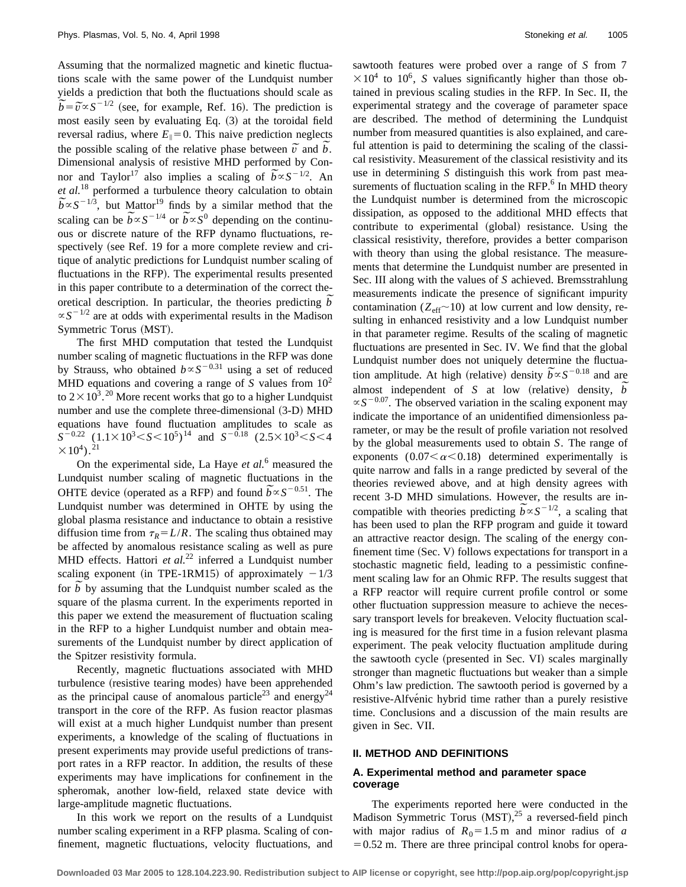Assuming that the normalized magnetic and kinetic fluctuations scale with the same power of the Lundquist number yields a prediction that both the fluctuations should scale as yields a prediction that both the fluctuations should scale as  $\tilde{b} = \tilde{v} \propto S^{-1/2}$  (see, for example, Ref. 16). The prediction is most easily seen by evaluating Eq.  $(3)$  at the toroidal field reversal radius, where  $E_{\parallel}=0$ . This naive prediction neglects the possible scaling of the relative phase between  $\tilde{\nu}$  and  $\tilde{b}$ . Dimensional analysis of resistive MHD performed by Con-Dimensional analysis of resistive MHD performed by Connor and Taylor<sup>17</sup> also implies a scaling of  $\tilde{b} \propto S^{-1/2}$ . An *et al.*<sup>18</sup> performed a turbulence theory calculation to obtain *b al*. " performed a turbulence theory calculation to obtain  $\tilde{b} \propto S^{-1/3}$ , but Mattor<sup>19</sup> finds by a similar method that the  $b \propto S^{-1/2}$ , but Mattor<sup>22</sup> finds by a similar method that the scaling can be  $b \propto S^{-1/4}$  or  $b \propto S^0$  depending on the continuous or discrete nature of the RFP dynamo fluctuations, respectively (see Ref. 19 for a more complete review and critique of analytic predictions for Lundquist number scaling of fluctuations in the RFP). The experimental results presented in this paper contribute to a determination of the correct thein this paper contribute to a determination of the correct theories description. In particular, the theories predicting  $\tilde{b}$  $\propto S^{-1/2}$  are at odds with experimental results in the Madison Symmetric Torus (MST).

The first MHD computation that tested the Lundquist number scaling of magnetic fluctuations in the RFP was done by Strauss, who obtained  $b \propto S^{-0.31}$  using a set of reduced MHD equations and covering a range of *S* values from  $10<sup>2</sup>$ to  $2 \times 10^{3}$ . <sup>20</sup> More recent works that go to a higher Lundquist number and use the complete three-dimensional  $(3-D)$  MHD equations have found fluctuation amplitudes to scale as  $S^{-0.22}$  (1.1×10<sup>3</sup> < *S* < 10<sup>5</sup>)<sup>14</sup> and *S*<sup>-0.18</sup> (2.5×10<sup>3</sup> < *S* < 4  $\times 10^{4}$ .<sup>21</sup>

On the experimental side, La Haye *et al.*<sup>6</sup> measured the Lundquist number scaling of magnetic fluctuations in the Lundquist number scaling of magnetic fluctuations in the OHTE device (operated as a RFP) and found  $\widetilde{b} \propto S^{-0.51}$ . The Lundquist number was determined in OHTE by using the global plasma resistance and inductance to obtain a resistive diffusion time from  $\tau_R = L/R$ . The scaling thus obtained may be affected by anomalous resistance scaling as well as pure MHD effects. Hattori *et al.*<sup>22</sup> inferred a Lundquist number scaling exponent (in TPE-1RM15) of approximately  $-1/3$ scaling exponent (in TPE-TRMT5) of approximately  $-1/3$ <br>for  $\tilde{b}$  by assuming that the Lundquist number scaled as the square of the plasma current. In the experiments reported in this paper we extend the measurement of fluctuation scaling in the RFP to a higher Lundquist number and obtain measurements of the Lundquist number by direct application of the Spitzer resistivity formula.

Recently, magnetic fluctuations associated with MHD turbulence (resistive tearing modes) have been apprehended as the principal cause of anomalous particle<sup>23</sup> and energy<sup>24</sup> transport in the core of the RFP. As fusion reactor plasmas will exist at a much higher Lundquist number than present experiments, a knowledge of the scaling of fluctuations in present experiments may provide useful predictions of transport rates in a RFP reactor. In addition, the results of these experiments may have implications for confinement in the spheromak, another low-field, relaxed state device with large-amplitude magnetic fluctuations.

In this work we report on the results of a Lundquist number scaling experiment in a RFP plasma. Scaling of confinement, magnetic fluctuations, velocity fluctuations, and sawtooth features were probed over a range of *S* from 7  $\times 10^4$  to 10<sup>6</sup>, *S* values significantly higher than those obtained in previous scaling studies in the RFP. In Sec. II, the experimental strategy and the coverage of parameter space are described. The method of determining the Lundquist number from measured quantities is also explained, and careful attention is paid to determining the scaling of the classical resistivity. Measurement of the classical resistivity and its use in determining *S* distinguish this work from past measurements of fluctuation scaling in the RFP.<sup>6</sup> In MHD theory the Lundquist number is determined from the microscopic dissipation, as opposed to the additional MHD effects that contribute to experimental (global) resistance. Using the classical resistivity, therefore, provides a better comparison with theory than using the global resistance. The measurements that determine the Lundquist number are presented in Sec. III along with the values of *S* achieved. Bremsstrahlung measurements indicate the presence of significant impurity contamination ( $Z_{\text{eff}}$ ~10) at low current and low density, resulting in enhanced resistivity and a low Lundquist number in that parameter regime. Results of the scaling of magnetic fluctuations are presented in Sec. IV. We find that the global Lundquist number does not uniquely determine the fluctua-Lundquist number does not uniquely determine the fluctuation amplitude. At high (relative) density  $\tilde{b} \propto S^{-0.18}$  and are tion amplitude. At high (relative) density  $b \propto S$  and are almost independent of *S* at low (relative) density,  $\overline{b}$  $\propto S^{-0.07}$ . The observed variation in the scaling exponent may indicate the importance of an unidentified dimensionless parameter, or may be the result of profile variation not resolved by the global measurements used to obtain *S*. The range of exponents  $(0.07<\alpha<0.18)$  determined experimentally is quite narrow and falls in a range predicted by several of the theories reviewed above, and at high density agrees with recent 3-D MHD simulations. However, the results are inrecent 3-D MHD simulations. However, the results are incompatible with theories predicting  $\tilde{b} \propto S^{-1/2}$ , a scaling that has been used to plan the RFP program and guide it toward an attractive reactor design. The scaling of the energy confinement time  $(Sec. V)$  follows expectations for transport in a stochastic magnetic field, leading to a pessimistic confinement scaling law for an Ohmic RFP. The results suggest that a RFP reactor will require current profile control or some other fluctuation suppression measure to achieve the necessary transport levels for breakeven. Velocity fluctuation scaling is measured for the first time in a fusion relevant plasma experiment. The peak velocity fluctuation amplitude during the sawtooth cycle (presented in Sec. VI) scales marginally stronger than magnetic fluctuations but weaker than a simple Ohm's law prediction. The sawtooth period is governed by a resistive-Alfvénic hybrid time rather than a purely resistive time. Conclusions and a discussion of the main results are given in Sec. VII.

#### **II. METHOD AND DEFINITIONS**

# **A. Experimental method and parameter space coverage**

The experiments reported here were conducted in the Madison Symmetric Torus (MST),<sup>25</sup> a reversed-field pinch with major radius of  $R_0 = 1.5$  m and minor radius of *a*  $=0.52$  m. There are three principal control knobs for opera-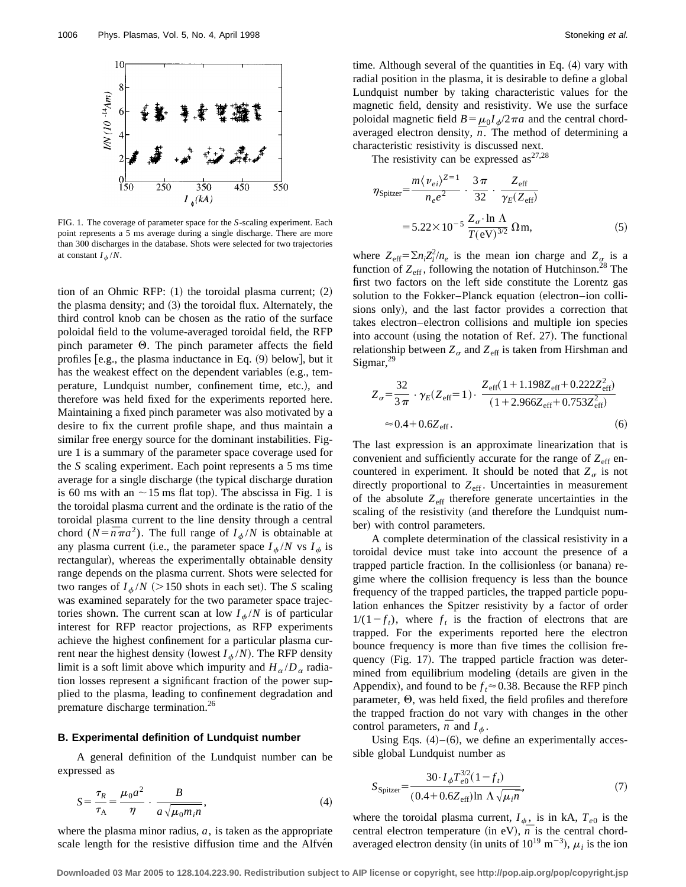

FIG. 1. The coverage of parameter space for the *S*-scaling experiment. Each point represents a 5 ms average during a single discharge. There are more than 300 discharges in the database. Shots were selected for two trajectories at constant  $I_{\phi}/N$ .

tion of an Ohmic RFP:  $(1)$  the toroidal plasma current;  $(2)$ the plasma density; and  $(3)$  the toroidal flux. Alternately, the third control knob can be chosen as the ratio of the surface poloidal field to the volume-averaged toroidal field, the RFP pinch parameter Q. The pinch parameter affects the field profiles  $[e.g., the plasma inductance in Eq. (9) below], but it$ has the weakest effect on the dependent variables (e.g., temperature, Lundquist number, confinement time, etc.), and therefore was held fixed for the experiments reported here. Maintaining a fixed pinch parameter was also motivated by a desire to fix the current profile shape, and thus maintain a similar free energy source for the dominant instabilities. Figure 1 is a summary of the parameter space coverage used for the *S* scaling experiment. Each point represents a 5 ms time average for a single discharge (the typical discharge duration is 60 ms with an  $\sim$  15 ms flat top). The abscissa in Fig. 1 is the toroidal plasma current and the ordinate is the ratio of the toroidal plasma current to the line density through a central chord ( $N=\overline{n}\pi a^2$ ). The full range of  $I_{\phi}/N$  is obtainable at any plasma current (i.e., the parameter space  $I_{\phi}/N$  vs  $I_{\phi}$  is rectangular), whereas the experimentally obtainable density range depends on the plasma current. Shots were selected for two ranges of  $I_{\phi}/N$  (>150 shots in each set). The *S* scaling was examined separately for the two parameter space trajectories shown. The current scan at low  $I_{\phi}/N$  is of particular interest for RFP reactor projections, as RFP experiments achieve the highest confinement for a particular plasma current near the highest density (lowest  $I_{\phi}/N$ ). The RFP density limit is a soft limit above which impurity and  $H_{\alpha}/D_{\alpha}$  radiation losses represent a significant fraction of the power supplied to the plasma, leading to confinement degradation and premature discharge termination.<sup>26</sup>

## **B. Experimental definition of Lundquist number**

A general definition of the Lundquist number can be expressed as

$$
S = \frac{\tau_R}{\tau_A} = \frac{\mu_0 a^2}{\eta} \cdot \frac{B}{a \sqrt{\mu_0 m_i n}},
$$
\n(4)

where the plasma minor radius,  $a$ , is taken as the appropriate scale length for the resistive diffusion time and the Alfven time. Although several of the quantities in Eq.  $(4)$  vary with radial position in the plasma, it is desirable to define a global Lundquist number by taking characteristic values for the magnetic field, density and resistivity. We use the surface poloidal magnetic field  $B = \mu_0 I_\phi/2\pi a$  and the central chordaveraged electron density,  $\bar{n}$ . The method of determining a characteristic resistivity is discussed next.

The resistivity can be expressed  $as^{27,28}$ 

$$
\eta_{\text{Spitzer}} = \frac{m \langle \nu_{ei} \rangle^{Z=1}}{n_e e^2} \cdot \frac{3 \pi}{32} \cdot \frac{Z_{\text{eff}}}{\gamma_E (Z_{\text{eff}})}
$$

$$
= 5.22 \times 10^{-5} \frac{Z_{\sigma} \cdot \ln \Lambda}{T(\text{eV})^{3/2}} \Omega \text{m}, \tag{5}
$$

where  $Z_{\text{eff}} = \sum n_i Z_i^2 / n_e$  is the mean ion charge and  $Z_{\sigma}$  is a function of  $Z_{\text{eff}}$ , following the notation of Hutchinson.<sup>28</sup> The first two factors on the left side constitute the Lorentz gas solution to the Fokker–Planck equation (electron–ion collisions only), and the last factor provides a correction that takes electron–electron collisions and multiple ion species into account (using the notation of Ref. 27). The functional relationship between  $Z_{\sigma}$  and  $Z_{\text{eff}}$  is taken from Hirshman and Sigmar, $^{29}$ 

$$
Z_{\sigma} = \frac{32}{3\pi} \cdot \gamma_E (Z_{\text{eff}} = 1) \cdot \frac{Z_{\text{eff}} (1 + 1.198 Z_{\text{eff}} + 0.222 Z_{\text{eff}}^2)}{(1 + 2.966 Z_{\text{eff}} + 0.753 Z_{\text{eff}}^2)}
$$
  

$$
\approx 0.4 + 0.6 Z_{\text{eff}}.
$$
 (6)

The last expression is an approximate linearization that is convenient and sufficiently accurate for the range of  $Z_{\text{eff}}$  encountered in experiment. It should be noted that  $Z_{\sigma}$  is not directly proportional to Z<sub>eff</sub>. Uncertainties in measurement of the absolute *Z*eff therefore generate uncertainties in the scaling of the resistivity (and therefore the Lundquist number) with control parameters.

A complete determination of the classical resistivity in a toroidal device must take into account the presence of a trapped particle fraction. In the collisionless (or banana) regime where the collision frequency is less than the bounce frequency of the trapped particles, the trapped particle population enhances the Spitzer resistivity by a factor of order  $1/(1-f_t)$ , where  $f_t$  is the fraction of electrons that are trapped. For the experiments reported here the electron bounce frequency is more than five times the collision frequency (Fig. 17). The trapped particle fraction was determined from equilibrium modeling (details are given in the Appendix), and found to be  $f_t \approx 0.38$ . Because the RFP pinch parameter,  $\Theta$ , was held fixed, the field profiles and therefore the trapped fraction do not vary with changes in the other control parameters,  $\bar{n}$  and  $I_{\phi}$ .

Using Eqs.  $(4)$ – $(6)$ , we define an experimentally accessible global Lundquist number as

$$
S_{\text{Spitzer}} = \frac{30 \cdot I_{\phi} T_{e0}^{3/2} (1 - f_t)}{(0.4 + 0.6 Z_{\text{eff}}) \ln \Lambda \sqrt{\mu_i n}},\tag{7}
$$

where the toroidal plasma current,  $I_{\phi}$ , is in kA,  $T_{e0}$  is the central electron temperature (in eV),  $\overline{n}$  is the central chordaveraged electron density (in units of  $10^{19}$  m<sup>-3</sup>),  $\mu_i$  is the ion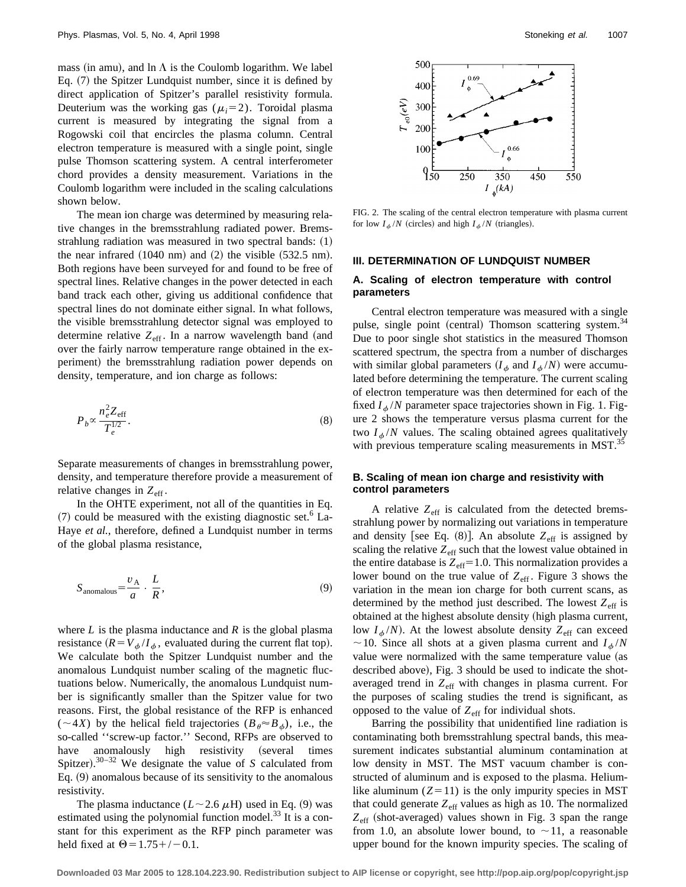mass (in amu), and ln  $\Lambda$  is the Coulomb logarithm. We label Eq.  $(7)$  the Spitzer Lundquist number, since it is defined by direct application of Spitzer's parallel resistivity formula. Deuterium was the working gas  $(\mu_i=2)$ . Toroidal plasma current is measured by integrating the signal from a Rogowski coil that encircles the plasma column. Central electron temperature is measured with a single point, single pulse Thomson scattering system. A central interferometer chord provides a density measurement. Variations in the Coulomb logarithm were included in the scaling calculations shown below.

The mean ion charge was determined by measuring relative changes in the bremsstrahlung radiated power. Bremsstrahlung radiation was measured in two spectral bands:  $(1)$ the near infrared  $(1040 \text{ nm})$  and  $(2)$  the visible  $(532.5 \text{ nm})$ . Both regions have been surveyed for and found to be free of spectral lines. Relative changes in the power detected in each band track each other, giving us additional confidence that spectral lines do not dominate either signal. In what follows, the visible bremsstrahlung detector signal was employed to determine relative  $Z_{\text{eff}}$ . In a narrow wavelength band (and over the fairly narrow temperature range obtained in the experiment) the bremsstrahlung radiation power depends on density, temperature, and ion charge as follows:

$$
P_b \propto \frac{n_e^2 Z_{\text{eff}}}{T_e^{1/2}}.\tag{8}
$$

Separate measurements of changes in bremsstrahlung power, density, and temperature therefore provide a measurement of relative changes in  $Z_{\text{eff}}$ .

In the OHTE experiment, not all of the quantities in Eq.  $(7)$  could be measured with the existing diagnostic set.<sup>6</sup> La-Haye *et al.*, therefore, defined a Lundquist number in terms of the global plasma resistance,

$$
S_{\text{anomalous}} = \frac{v_{\text{A}}}{a} \cdot \frac{L}{R},\tag{9}
$$

where  $L$  is the plasma inductance and  $R$  is the global plasma resistance  $(R = V_a / I_a$ , evaluated during the current flat top). We calculate both the Spitzer Lundquist number and the anomalous Lundquist number scaling of the magnetic fluctuations below. Numerically, the anomalous Lundquist number is significantly smaller than the Spitzer value for two reasons. First, the global resistance of the RFP is enhanced  $(\sim 4X)$  by the helical field trajectories  $(B_{\theta} \approx B_{\phi})$ , i.e., the so-called ''screw-up factor.'' Second, RFPs are observed to have anomalously high resistivity (several times Spitzer).<sup>30–32</sup> We designate the value of *S* calculated from Eq.  $(9)$  anomalous because of its sensitivity to the anomalous resistivity.

The plasma inductance  $(L \sim 2.6 \mu H)$  used in Eq. (9) was estimated using the polynomial function model. $^{33}$  It is a constant for this experiment as the RFP pinch parameter was held fixed at  $\Theta$  = 1.75+/-0.1.



FIG. 2. The scaling of the central electron temperature with plasma current for low  $I_{\phi}/N$  (circles) and high  $I_{\phi}/N$  (triangles).

## **III. DETERMINATION OF LUNDQUIST NUMBER**

## **A. Scaling of electron temperature with control parameters**

Central electron temperature was measured with a single pulse, single point (central) Thomson scattering system.<sup>34</sup> Due to poor single shot statistics in the measured Thomson scattered spectrum, the spectra from a number of discharges with similar global parameters  $(I_{\phi}$  and  $I_{\phi}/N$ ) were accumulated before determining the temperature. The current scaling of electron temperature was then determined for each of the fixed  $I_{\phi}/N$  parameter space trajectories shown in Fig. 1. Figure 2 shows the temperature versus plasma current for the two  $I_{\phi}/N$  values. The scaling obtained agrees qualitatively with previous temperature scaling measurements in MST.<sup>35</sup>

# **B. Scaling of mean ion charge and resistivity with control parameters**

A relative  $Z_{\text{eff}}$  is calculated from the detected bremsstrahlung power by normalizing out variations in temperature and density [see Eq.  $(8)$ ]. An absolute  $Z_{\text{eff}}$  is assigned by scaling the relative  $Z_{\text{eff}}$  such that the lowest value obtained in the entire database is  $Z_{\text{eff}}=1.0$ . This normalization provides a lower bound on the true value of  $Z_{\text{eff}}$ . Figure 3 shows the variation in the mean ion charge for both current scans, as determined by the method just described. The lowest  $Z_{\text{eff}}$  is obtained at the highest absolute density (high plasma current, low  $I_{\phi}/N$ ). At the lowest absolute density  $Z_{\text{eff}}$  can exceed  $\sim$  10. Since all shots at a given plasma current and  $I_{\phi}/N$ value were normalized with the same temperature value (as described above), Fig. 3 should be used to indicate the shotaveraged trend in Z<sub>eff</sub> with changes in plasma current. For the purposes of scaling studies the trend is significant, as opposed to the value of *Z*eff for individual shots.

Barring the possibility that unidentified line radiation is contaminating both bremsstrahlung spectral bands, this measurement indicates substantial aluminum contamination at low density in MST. The MST vacuum chamber is constructed of aluminum and is exposed to the plasma. Heliumlike aluminum  $(Z=11)$  is the only impurity species in MST that could generate  $Z_{\text{eff}}$  values as high as 10. The normalized  $Z_{\text{eff}}$  (shot-averaged) values shown in Fig. 3 span the range from 1.0, an absolute lower bound, to  $\sim$  11, a reasonable upper bound for the known impurity species. The scaling of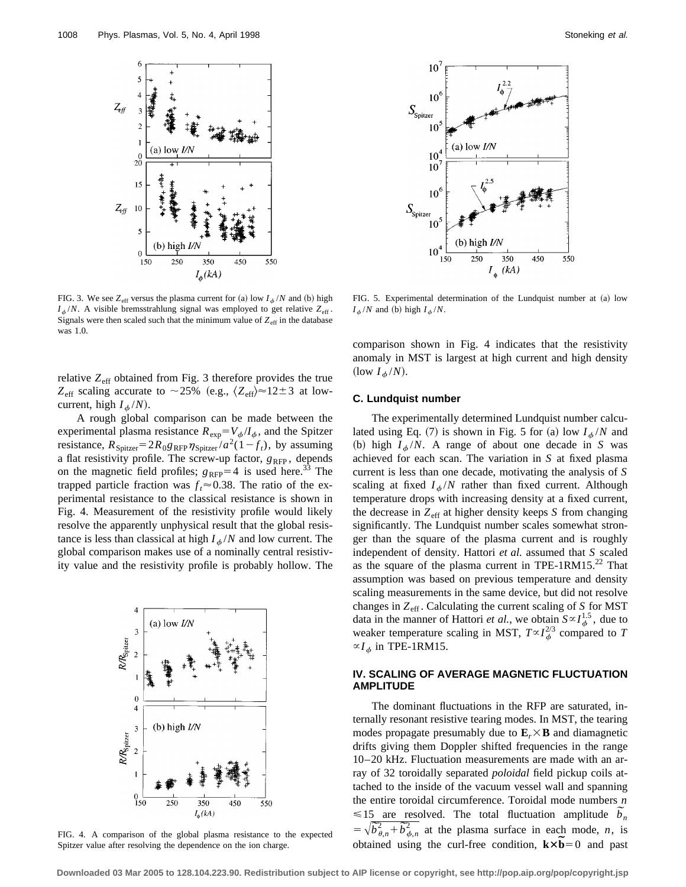

FIG. 3. We see  $Z_{\text{eff}}$  versus the plasma current for (a) low  $I_{\phi}/N$  and (b) high  $I_{\phi}/N$ . A visible bremsstrahlung signal was employed to get relative  $Z_{\text{eff}}$ . Signals were then scaled such that the minimum value of  $Z_{\text{eff}}$  in the database was 1.0.

relative  $Z_{\text{eff}}$  obtained from Fig. 3 therefore provides the true  $Z_{\text{eff}}$  scaling accurate to ~25% (e.g.,  $\langle Z_{\text{eff}}\rangle \approx 12\pm3$  at lowcurrent, high  $I_{\phi}/N$ ).

A rough global comparison can be made between the experimental plasma resistance  $R_{exp} = V_{\phi}/I_{\phi}$ , and the Spitzer resistance,  $R_{\text{Spitzer}} = 2R_0 g_{\text{RFP}} \eta_{\text{Spitzer}} / a^2(1 - f_t)$ , by assuming a flat resistivity profile. The screw-up factor,  $g_{RFP}$ , depends on the magnetic field profiles;  $g_{\text{RFP}}=4$  is used here.<sup>33</sup> The trapped particle fraction was  $f_t \approx 0.38$ . The ratio of the experimental resistance to the classical resistance is shown in Fig. 4. Measurement of the resistivity profile would likely resolve the apparently unphysical result that the global resistance is less than classical at high  $I_{\phi}/N$  and low current. The global comparison makes use of a nominally central resistivity value and the resistivity profile is probably hollow. The



FIG. 4. A comparison of the global plasma resistance to the expected Spitzer value after resolving the dependence on the ion charge.



FIG. 5. Experimental determination of the Lundquist number at  $(a)$  low  $I_{\phi}/N$  and (b) high  $I_{\phi}/N$ .

comparison shown in Fig. 4 indicates that the resistivity anomaly in MST is largest at high current and high density (low  $I_{\phi}/N$ ).

# **C. Lundquist number**

The experimentally determined Lundquist number calculated using Eq. (7) is shown in Fig. 5 for (a) low  $I_{\phi}/N$  and (b) high  $I_{\phi}/N$ . A range of about one decade in *S* was achieved for each scan. The variation in *S* at fixed plasma current is less than one decade, motivating the analysis of *S* scaling at fixed  $I_{\phi}/N$  rather than fixed current. Although temperature drops with increasing density at a fixed current, the decrease in  $Z_{\text{eff}}$  at higher density keeps *S* from changing significantly. The Lundquist number scales somewhat stronger than the square of the plasma current and is roughly independent of density. Hattori *et al.* assumed that *S* scaled as the square of the plasma current in TPE-1RM15. $^{22}$  That assumption was based on previous temperature and density scaling measurements in the same device, but did not resolve changes in  $Z_{\text{eff}}$ . Calculating the current scaling of *S* for MST data in the manner of Hattori *et al.*, we obtain  $S \propto I_{\phi}^{1.5}$ , due to weaker temperature scaling in MST,  $T \propto I_\phi^{2/3}$  compared to *T*  $\propto$ *I*<sub>φ</sub> in TPE-1RM15.

# **IV. SCALING OF AVERAGE MAGNETIC FLUCTUATION AMPLITUDE**

The dominant fluctuations in the RFP are saturated, internally resonant resistive tearing modes. In MST, the tearing modes propagate presumably due to  $\mathbf{E}_r \times \mathbf{B}$  and diamagnetic drifts giving them Doppler shifted frequencies in the range 10–20 kHz. Fluctuation measurements are made with an array of 32 toroidally separated *poloidal* field pickup coils attached to the inside of the vacuum vessel wall and spanning the entire toroidal circumference. Toroidal mode numbers *n* the entire toroidal circumference. Foroidal mode numbers *n*<br>  $\leq 15$  are resolved. The total fluctuation amplitude  $\tilde{b}_n$  $\leq$  15 are resolved. The total nuctuation amplitude  $b_n$ <br>=  $\sqrt{b_{\theta,n}^2 + b_{\phi,n}^2}$  at the plasma surface in each mode, *n*, is  $= \nabla b_{\theta,n} + b_{\phi,n}$  at the plasma surface in each mode, *n*, is obtained using the curl-free condition,  $\mathbf{k} \times \mathbf{\tilde{b}} = 0$  and past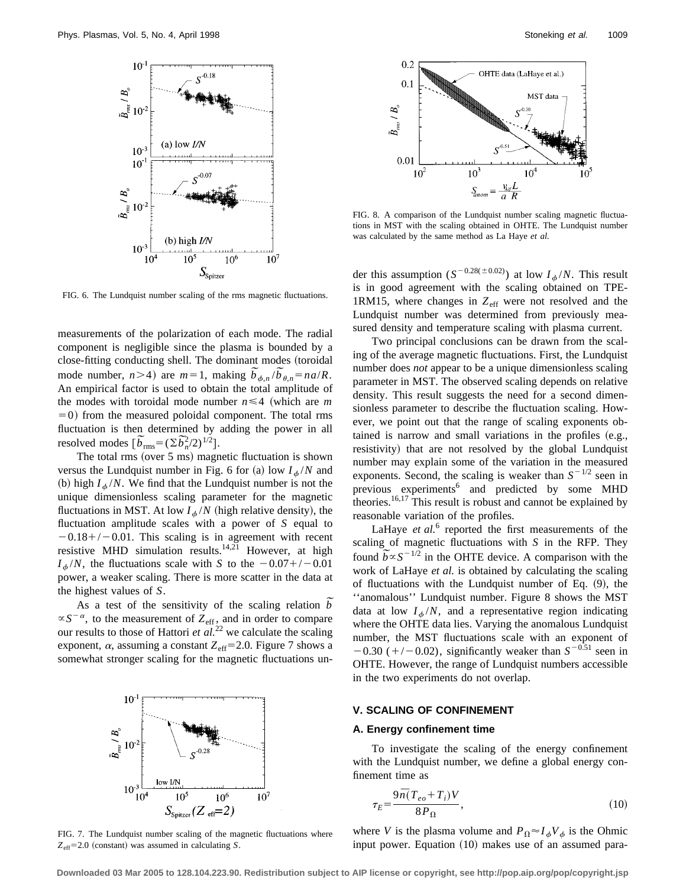

FIG. 6. The Lundquist number scaling of the rms magnetic fluctuations.

measurements of the polarization of each mode. The radial component is negligible since the plasma is bounded by a close-fitting conducting shell. The dominant modes (toroidal close-fitting conducting shell. The dominant modes (toroidal<br>mode number,  $n>4$ ) are  $m=1$ , making  $\tilde{b}_{\phi,n}/\tilde{b}_{\theta,n} = na/R$ . An empirical factor is used to obtain the total amplitude of the modes with toroidal mode number  $n \leq 4$  (which are *m*  $=0$ ) from the measured poloidal component. The total rms fluctuation is then determined by adding the power in all fluctuation is then determined by<br>resolved modes  $[\widetilde{b}_{\text{rms}} = (\Sigma \widetilde{b}_{n}^2/2)^{1/2}]$ .

The total rms (over  $5$  ms) magnetic fluctuation is shown versus the Lundquist number in Fig. 6 for (a) low  $I_{\phi}/N$  and (b) high  $I_{\phi}/N$ . We find that the Lundquist number is not the unique dimensionless scaling parameter for the magnetic fluctuations in MST. At low  $I_{\phi}/N$  (high relative density), the fluctuation amplitude scales with a power of *S* equal to  $-0.18+/-0.01$ . This scaling is in agreement with recent resistive MHD simulation results.<sup>14,21</sup> However, at high  $I_{\phi}/N$ , the fluctuations scale with *S* to the  $-0.07+/-0.01$ power, a weaker scaling. There is more scatter in the data at the highest values of *S*.

highest values of S.<br>As a test of the sensitivity of the scaling relation  $\overline{b}$  $\propto S^{-\alpha}$ , to the measurement of  $Z_{\text{eff}}$ , and in order to compare our results to those of Hattori *et al.*<sup>22</sup> we calculate the scaling exponent,  $\alpha$ , assuming a constant  $Z_{\text{eff}}$ =2.0. Figure 7 shows a somewhat stronger scaling for the magnetic fluctuations un-



FIG. 7. The Lundquist number scaling of the magnetic fluctuations where  $Z_{\text{eff}}$ =2.0 (constant) was assumed in calculating *S*.



FIG. 8. A comparison of the Lundquist number scaling magnetic fluctuations in MST with the scaling obtained in OHTE. The Lundquist number was calculated by the same method as La Haye *et al.*

der this assumption  $(S^{-0.28(\pm 0.02)})$  at low  $I_{\phi}/N$ . This result is in good agreement with the scaling obtained on TPE-1RM15, where changes in  $Z_{\text{eff}}$  were not resolved and the Lundquist number was determined from previously measured density and temperature scaling with plasma current.

Two principal conclusions can be drawn from the scaling of the average magnetic fluctuations. First, the Lundquist number does *not* appear to be a unique dimensionless scaling parameter in MST. The observed scaling depends on relative density. This result suggests the need for a second dimensionless parameter to describe the fluctuation scaling. However, we point out that the range of scaling exponents obtained is narrow and small variations in the profiles  $(e.g.,)$ resistivity) that are not resolved by the global Lundquist number may explain some of the variation in the measured exponents. Second, the scaling is weaker than  $S^{-1/2}$  seen in previous experiments<sup>6</sup> and predicted by some MHD theories.<sup>16,17</sup> This result is robust and cannot be explained by reasonable variation of the profiles.

LaHaye *et al.*<sup>6</sup> reported the first measurements of the scaling of magnetic fluctuations with *S* in the RFP. They scaling of magnetic fluctuations with *S* in the RFP. They<br>found  $\tilde{b} \propto S^{-1/2}$  in the OHTE device. A comparison with the work of LaHaye *et al.* is obtained by calculating the scaling of fluctuations with the Lundquist number of Eq.  $(9)$ , the ''anomalous'' Lundquist number. Figure 8 shows the MST data at low  $I_{\phi}/N$ , and a representative region indicating where the OHTE data lies. Varying the anomalous Lundquist number, the MST fluctuations scale with an exponent of  $-0.30$  (+/-0.02), significantly weaker than  $S^{-0.51}$  seen in OHTE. However, the range of Lundquist numbers accessible in the two experiments do not overlap.

#### **V. SCALING OF CONFINEMENT**

#### **A. Energy confinement time**

To investigate the scaling of the energy confinement with the Lundquist number, we define a global energy confinement time as

$$
\tau_E = \frac{9\bar{n}(T_{eo} + T_i)V}{8P_{\Omega}},\tag{10}
$$

where *V* is the plasma volume and  $P_{\Omega} \approx I_{\phi}V_{\phi}$  is the Ohmic input power. Equation  $(10)$  makes use of an assumed para-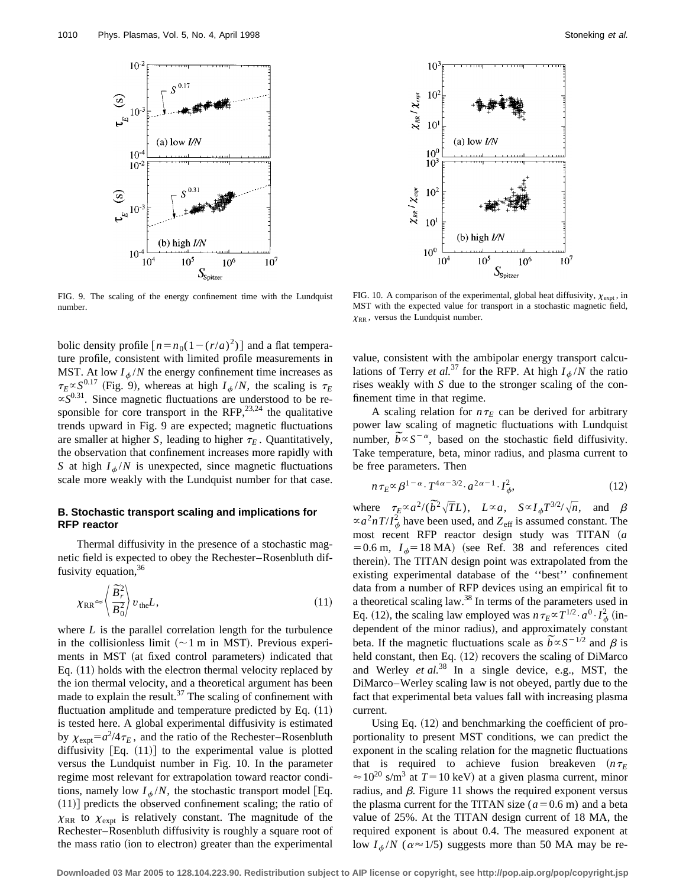

FIG. 9. The scaling of the energy confinement time with the Lundquist number.

bolic density profile  $[n = n_0(1 - (r/a)^2)]$  and a flat temperature profile, consistent with limited profile measurements in MST. At low  $I_{\phi}/N$  the energy confinement time increases as  $\tau_E \propto S^{0.17}$  (Fig. 9), whereas at high  $I_{\phi}/N$ , the scaling is  $\tau_E$  $\propto S^{0.31}$ . Since magnetic fluctuations are understood to be responsible for core transport in the RFP,  $23,24$  the qualitative trends upward in Fig. 9 are expected; magnetic fluctuations are smaller at higher *S*, leading to higher  $\tau_E$ . Quantitatively, the observation that confinement increases more rapidly with *S* at high  $I_{\phi}/N$  is unexpected, since magnetic fluctuations scale more weakly with the Lundquist number for that case.

# **B. Stochastic transport scaling and implications for RFP reactor**

Thermal diffusivity in the presence of a stochastic magnetic field is expected to obey the Rechester–Rosenbluth diffusivity equation,  $36$ 

$$
\chi_{\rm RR} \approx \left\langle \frac{\bar{B}_r^2}{B_0^2} \right\rangle v_{\rm the} L, \tag{11}
$$

where *L* is the parallel correlation length for the turbulence in the collisionless limit  $({\sim}1 \text{ m in MST})$ . Previous experiments in MST (at fixed control parameters) indicated that Eq.  $(11)$  holds with the electron thermal velocity replaced by the ion thermal velocity, and a theoretical argument has been made to explain the result. $37$  The scaling of confinement with fluctuation amplitude and temperature predicted by Eq.  $(11)$ is tested here. A global experimental diffusivity is estimated by  $\chi_{\text{expt}} = a^2/4\tau_E$ , and the ratio of the Rechester–Rosenbluth diffusivity  $[Eq. (11)]$  to the experimental value is plotted versus the Lundquist number in Fig. 10. In the parameter regime most relevant for extrapolation toward reactor conditions, namely low  $I_{\phi}/N$ , the stochastic transport model [Eq.  $(11)$  predicts the observed confinement scaling; the ratio of  $\chi_{RR}$  to  $\chi_{expt}$  is relatively constant. The magnitude of the Rechester–Rosenbluth diffusivity is roughly a square root of the mass ratio (ion to electron) greater than the experimental



FIG. 10. A comparison of the experimental, global heat diffusivity,  $\chi_{\text{expt}}$ , in MST with the expected value for transport in a stochastic magnetic field,  $\chi_{RR}$ , versus the Lundquist number.

value, consistent with the ambipolar energy transport calculations of Terry *et al.*<sup>37</sup> for the RFP. At high  $I_{\phi}/N$  the ratio rises weakly with *S* due to the stronger scaling of the confinement time in that regime.

A scaling relation for  $n \tau_E$  can be derived for arbitrary power law scaling of magnetic fluctuations with Lundquist power law scaling of magnetic fluctuations with Lundquist<br>number,  $\tilde{b} \propto S^{-\alpha}$ , based on the stochastic field diffusivity. Take temperature, beta, minor radius, and plasma current to be free parameters. Then

$$
n\tau_E \propto \beta^{1-\alpha} \cdot T^{4\alpha-3/2} \cdot a^{2\alpha-1} \cdot I_\phi^2,\tag{12}
$$

where  $\tau_E \propto a^2/(\bar{b}^2 \sqrt{T}L)$ ,  $L \propto a$ ,  $S \propto I_\phi T^{3/2}/\sqrt{n}$ , and  $\beta$  $\propto a^2 nT/I_{\phi}^2$  have been used, and  $Z_{\text{eff}}$  is assumed constant. The most recent RFP reactor design study was TITAN (a  $=0.6$  m,  $I_{\phi}=18$  MA) (see Ref. 38 and references cited therein). The TITAN design point was extrapolated from the existing experimental database of the ''best'' confinement data from a number of RFP devices using an empirical fit to a theoretical scaling law.<sup>38</sup> In terms of the parameters used in Eq. (12), the scaling law employed was  $n \tau_E \propto T^{1/2} \cdot a^0 \cdot I_\phi^2$  (independent of the minor radius), and approximately constant dependent of the minor radius), and approximately constant<br>beta. If the magnetic fluctuations scale as  $\tilde{b} \propto S^{-1/2}$  and  $\beta$  is held constant, then Eq. (12) recovers the scaling of DiMarco and Werley *et al.*<sup>38</sup> In a single device, e.g., MST, the DiMarco–Werley scaling law is not obeyed, partly due to the fact that experimental beta values fall with increasing plasma current.

Using Eq.  $(12)$  and benchmarking the coefficient of proportionality to present MST conditions, we can predict the exponent in the scaling relation for the magnetic fluctuations that is required to achieve fusion breakeven  $(n \tau_E)$  $\approx 10^{20}$  s/m<sup>3</sup> at  $T=10$  keV) at a given plasma current, minor radius, and  $\beta$ . Figure 11 shows the required exponent versus the plasma current for the TITAN size  $(a=0.6 \text{ m})$  and a beta value of 25%. At the TITAN design current of 18 MA, the required exponent is about 0.4. The measured exponent at low  $I_{\phi}/N$  ( $\alpha \approx 1/5$ ) suggests more than 50 MA may be re-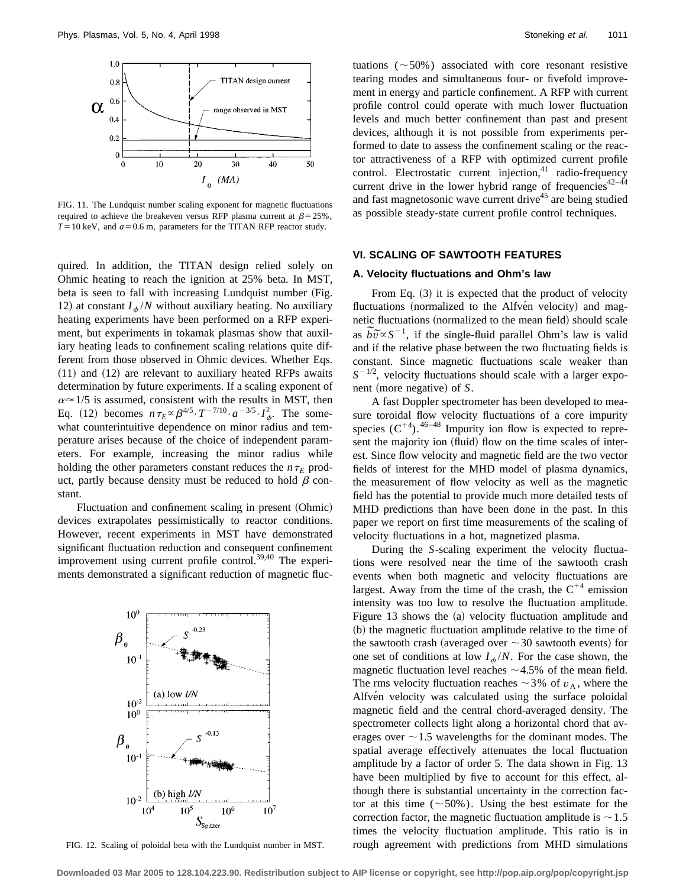

FIG. 11. The Lundquist number scaling exponent for magnetic fluctuations required to achieve the breakeven versus RFP plasma current at  $\beta = 25\%$ ,  $T=10$  keV, and  $a=0.6$  m, parameters for the TITAN RFP reactor study.

quired. In addition, the TITAN design relied solely on Ohmic heating to reach the ignition at 25% beta. In MST, beta is seen to fall with increasing Lundquist number (Fig. 12) at constant  $I_{\phi}/N$  without auxiliary heating. No auxiliary heating experiments have been performed on a RFP experiment, but experiments in tokamak plasmas show that auxiliary heating leads to confinement scaling relations quite different from those observed in Ohmic devices. Whether Eqs.  $(11)$  and  $(12)$  are relevant to auxiliary heated RFPs awaits determination by future experiments. If a scaling exponent of  $\alpha \approx 1/5$  is assumed, consistent with the results in MST, then Eq. (12) becomes  $n \tau_E \propto \beta^{4/5} \cdot T^{-7/10} \cdot a^{-3/5} \cdot I_{\phi}^2$ . The somewhat counterintuitive dependence on minor radius and temperature arises because of the choice of independent parameters. For example, increasing the minor radius while holding the other parameters constant reduces the  $n \tau_E$  product, partly because density must be reduced to hold  $\beta$  constant.

Fluctuation and confinement scaling in present (Ohmic) devices extrapolates pessimistically to reactor conditions. However, recent experiments in MST have demonstrated significant fluctuation reduction and consequent confinement improvement using current profile control.<sup>39,40</sup> The experiments demonstrated a significant reduction of magnetic fluc-

 $10<sup>0</sup>$  $\beta_{\scriptscriptstyle{\theta}}$  $10^{-1}$ (a) low  $I/N$  $10^{-2}$  $10<sup>0</sup>$  $\beta_{\scriptscriptstyle{\theta}}$  $10<sup>°</sup>$ (b) high  $I/N$  $10^{-2}$  $10<sup>7</sup>$  $10^{4}$  $10^{5}$  $10<sup>6</sup>$  $S_{\mbox{\scriptsize Spitzer}}$ 

FIG. 12. Scaling of poloidal beta with the Lundquist number in MST.

tuations  $(50\%)$  associated with core resonant resistive tearing modes and simultaneous four- or fivefold improvement in energy and particle confinement. A RFP with current profile control could operate with much lower fluctuation levels and much better confinement than past and present devices, although it is not possible from experiments performed to date to assess the confinement scaling or the reactor attractiveness of a RFP with optimized current profile control. Electrostatic current injection,<sup>41</sup> radio-frequency current drive in the lower hybrid range of frequencies<sup>42–44</sup> and fast magnetosonic wave current drive<sup>45</sup> are being studied as possible steady-state current profile control techniques.

## **VI. SCALING OF SAWTOOTH FEATURES**

#### **A. Velocity fluctuations and Ohm's law**

From Eq.  $(3)$  it is expected that the product of velocity fluctuations (normalized to the Alfven velocity) and magnetic fluctuations (normalized to the mean field) should scale netic fluctuations (normalized to the mean field) should scale<br>as  $\tilde{b}\tilde{v} \propto S^{-1}$ , if the single-fluid parallel Ohm's law is valid and if the relative phase between the two fluctuating fields is constant. Since magnetic fluctuations scale weaker than  $S^{-1/2}$ , velocity fluctuations should scale with a larger exponent (more negative) of *S*.

A fast Doppler spectrometer has been developed to measure toroidal flow velocity fluctuations of a core impurity species  $(C^{+4})$ . <sup>46-48</sup> Impurity ion flow is expected to represent the majority ion (fluid) flow on the time scales of interest. Since flow velocity and magnetic field are the two vector fields of interest for the MHD model of plasma dynamics, the measurement of flow velocity as well as the magnetic field has the potential to provide much more detailed tests of MHD predictions than have been done in the past. In this paper we report on first time measurements of the scaling of velocity fluctuations in a hot, magnetized plasma.

During the *S*-scaling experiment the velocity fluctuations were resolved near the time of the sawtooth crash events when both magnetic and velocity fluctuations are largest. Away from the time of the crash, the  $C^{+4}$  emission intensity was too low to resolve the fluctuation amplitude. Figure 13 shows the (a) velocity fluctuation amplitude and (b) the magnetic fluctuation amplitude relative to the time of the sawtooth crash (averaged over  $\sim$  30 sawtooth events) for one set of conditions at low  $I_{\phi}/N$ . For the case shown, the magnetic fluctuation level reaches  $\sim$  4.5% of the mean field. The rms velocity fluctuation reaches  $\sim$  3% of  $v_A$ , where the Alfvén velocity was calculated using the surface poloidal magnetic field and the central chord-averaged density. The spectrometer collects light along a horizontal chord that averages over  $\sim$  1.5 wavelengths for the dominant modes. The spatial average effectively attenuates the local fluctuation amplitude by a factor of order 5. The data shown in Fig. 13 have been multiplied by five to account for this effect, although there is substantial uncertainty in the correction factor at this time ( $\sim$  50%). Using the best estimate for the correction factor, the magnetic fluctuation amplitude is  $\sim$  1.5 times the velocity fluctuation amplitude. This ratio is in rough agreement with predictions from MHD simulations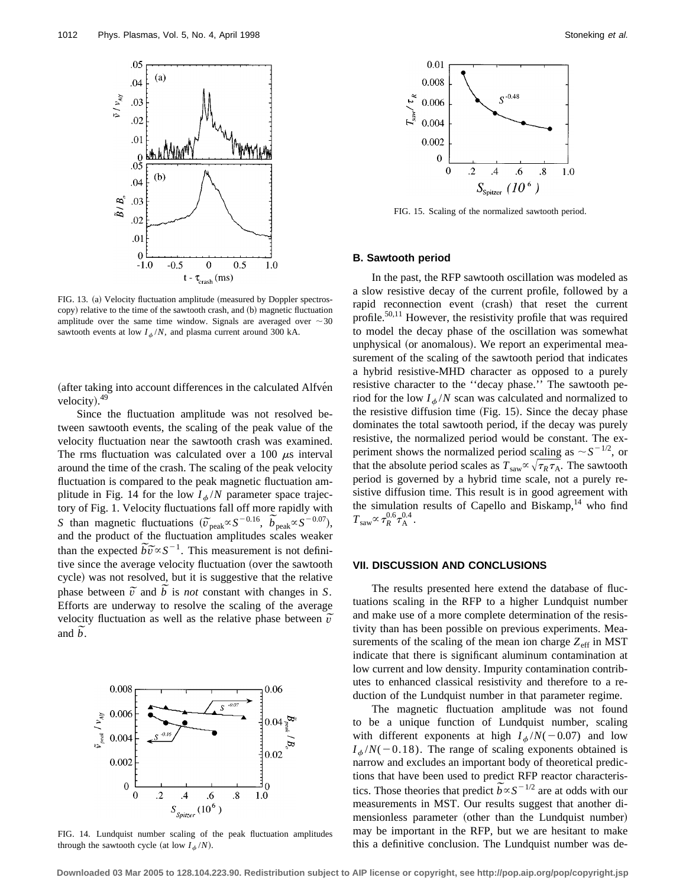

FIG. 13. (a) Velocity fluctuation amplitude (measured by Doppler spectroscopy) relative to the time of the sawtooth crash, and (b) magnetic fluctuation amplitude over the same time window. Signals are averaged over  $\sim$  30 sawtooth events at low  $I_{\phi}/N$ , and plasma current around 300 kA.

(after taking into account differences in the calculated Alfven velocity).<sup>49</sup>

Since the fluctuation amplitude was not resolved between sawtooth events, the scaling of the peak value of the velocity fluctuation near the sawtooth crash was examined. The rms fluctuation was calculated over a 100  $\mu$ s interval around the time of the crash. The scaling of the peak velocity fluctuation is compared to the peak magnetic fluctuation amplitude in Fig. 14 for the low  $I_{\phi}/N$  parameter space trajectory of Fig. 1. Velocity fluctuations fall off more rapidly with *S* than magnetic fluctuations  $(\tilde{v}_{\text{peak}} \propto S^{-0.16}, \ \tilde{b}_{\text{peak}} \propto S^{-0.07})$ , and the product of the fluctuation amplitudes scales weaker and the product of the fluctuation amplitudes scales weaker<br>than the expected  $\tilde{b}\tilde{\nu} \propto S^{-1}$ . This measurement is not definitive since the average velocity fluctuation (over the sawtooth cycle) was not resolved, but it is suggestive that the relative cycle) was not resolved, but it is suggestive that the relative phase between  $\tilde{v}$  and  $\tilde{b}$  is *not* constant with changes in *S*. Efforts are underway to resolve the scaling of the average extractive the control of the relative phase between  $\hat{v}$  and vertex  $\hat{v}$ velocit<br>and  $\tilde{b}$ .



FIG. 14. Lundquist number scaling of the peak fluctuation amplitudes through the sawtooth cycle (at low  $I_{\phi}/N$ ).



FIG. 15. Scaling of the normalized sawtooth period.

## **B. Sawtooth period**

In the past, the RFP sawtooth oscillation was modeled as a slow resistive decay of the current profile, followed by a rapid reconnection event (crash) that reset the current profile.<sup>50,11</sup> However, the resistivity profile that was required to model the decay phase of the oscillation was somewhat unphysical (or anomalous). We report an experimental measurement of the scaling of the sawtooth period that indicates a hybrid resistive-MHD character as opposed to a purely resistive character to the ''decay phase.'' The sawtooth period for the low  $I_{\phi}/N$  scan was calculated and normalized to the resistive diffusion time  $(Fig. 15)$ . Since the decay phase dominates the total sawtooth period, if the decay was purely resistive, the normalized period would be constant. The experiment shows the normalized period scaling as  $\sim S^{-1/2}$ , or that the absolute period scales as  $T_{\text{sav}} \propto \sqrt{\tau_R \tau_A}$ . The sawtooth period is governed by a hybrid time scale, not a purely resistive diffusion time. This result is in good agreement with the simulation results of Capello and Biskamp, $14$  who find  $T_{\rm saw}$   $\propto \tau_R^{0.6} \tau_{\rm A}^{0.4}$  .

## **VII. DISCUSSION AND CONCLUSIONS**

The results presented here extend the database of fluctuations scaling in the RFP to a higher Lundquist number and make use of a more complete determination of the resistivity than has been possible on previous experiments. Measurements of the scaling of the mean ion charge  $Z_{\text{eff}}$  in MST indicate that there is significant aluminum contamination at low current and low density. Impurity contamination contributes to enhanced classical resistivity and therefore to a reduction of the Lundquist number in that parameter regime.

The magnetic fluctuation amplitude was not found to be a unique function of Lundquist number, scaling with different exponents at high  $I_{\phi}/N(-0.07)$  and low  $I_{\phi}/N(-0.18)$ . The range of scaling exponents obtained is narrow and excludes an important body of theoretical predictions that have been used to predict RFP reactor characteristions that have been used to predict  $\overline{K} + \overline{K}$  reactor characteristics. Those theories that predict  $\overline{b} \propto S^{-1/2}$  are at odds with our measurements in MST. Our results suggest that another dimensionless parameter (other than the Lundquist number) may be important in the RFP, but we are hesitant to make this a definitive conclusion. The Lundquist number was de-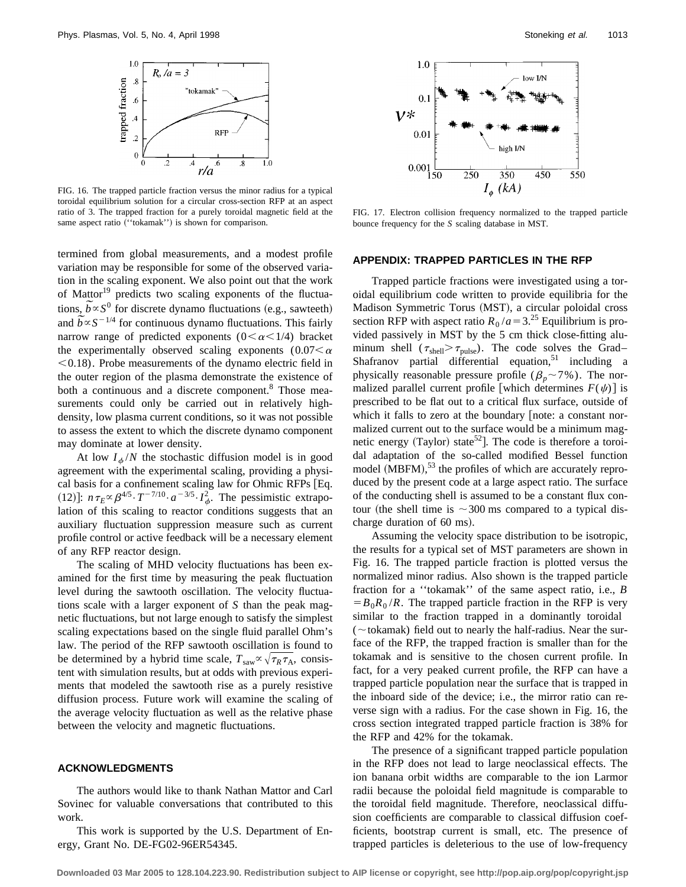

FIG. 16. The trapped particle fraction versus the minor radius for a typical toroidal equilibrium solution for a circular cross-section RFP at an aspect ratio of 3. The trapped fraction for a purely toroidal magnetic field at the same aspect ratio ("tokamak") is shown for comparison.

termined from global measurements, and a modest profile variation may be responsible for some of the observed variation in the scaling exponent. We also point out that the work of Mattor<sup>19</sup> predicts two scaling exponents of the fluctuaor Mattor<sup>2</sup> predicts two scaling exponents of the fluctuations,  $\tilde{b} \propto S^0$  for discrete dynamo fluctuations (e.g., sawteeth) tions,  $b \propto S^{\circ}$  for discrete dynamo fluctuations (e.g., sawteeth) and  $\tilde{b} \propto S^{-1/4}$  for continuous dynamo fluctuations. This fairly narrow range of predicted exponents  $(0<\alpha<1/4)$  bracket the experimentally observed scaling exponents  $(0.07<\alpha$  $< 0.18$ ). Probe measurements of the dynamo electric field in the outer region of the plasma demonstrate the existence of both a continuous and a discrete component.<sup>8</sup> Those measurements could only be carried out in relatively highdensity, low plasma current conditions, so it was not possible to assess the extent to which the discrete dynamo component may dominate at lower density.

At low  $I_{\phi}/N$  the stochastic diffusion model is in good agreement with the experimental scaling, providing a physical basis for a confinement scaling law for Ohmic RFPs [Eq. (12)]:  $n\tau_E \propto \beta^{4/5} \cdot T^{-7/10} \cdot a^{-3/5} \cdot I_{\phi}^2$ . The pessimistic extrapolation of this scaling to reactor conditions suggests that an auxiliary fluctuation suppression measure such as current profile control or active feedback will be a necessary element of any RFP reactor design.

The scaling of MHD velocity fluctuations has been examined for the first time by measuring the peak fluctuation level during the sawtooth oscillation. The velocity fluctuations scale with a larger exponent of *S* than the peak magnetic fluctuations, but not large enough to satisfy the simplest scaling expectations based on the single fluid parallel Ohm's law. The period of the RFP sawtooth oscillation is found to be determined by a hybrid time scale,  $T_{\text{saw}} \propto \sqrt{\tau_R \tau_A}$ , consistent with simulation results, but at odds with previous experiments that modeled the sawtooth rise as a purely resistive diffusion process. Future work will examine the scaling of the average velocity fluctuation as well as the relative phase between the velocity and magnetic fluctuations.

## **ACKNOWLEDGMENTS**

The authors would like to thank Nathan Mattor and Carl Sovinec for valuable conversations that contributed to this work.

This work is supported by the U.S. Department of Energy, Grant No. DE-FG02-96ER54345.



FIG. 17. Electron collision frequency normalized to the trapped particle bounce frequency for the *S* scaling database in MST.

#### **APPENDIX: TRAPPED PARTICLES IN THE RFP**

Trapped particle fractions were investigated using a toroidal equilibrium code written to provide equilibria for the Madison Symmetric Torus (MST), a circular poloidal cross section RFP with aspect ratio  $R_0/a = 3^{25}$  Equilibrium is provided passively in MST by the 5 cm thick close-fitting aluminum shell ( $\tau_{\text{shell}} > \tau_{\text{pulse}}$ ). The code solves the Grad– Shafranov partial differential equation,<sup>51</sup> including a physically reasonable pressure profile ( $\beta_p$ ~7%). The normalized parallel current profile [which determines  $F(\psi)$ ] is prescribed to be flat out to a critical flux surface, outside of which it falls to zero at the boundary  $|$  note: a constant normalized current out to the surface would be a minimum magnetic energy (Taylor) state<sup>52</sup>]. The code is therefore a toroidal adaptation of the so-called modified Bessel function model  $(MBFM)$ ,<sup>53</sup> the profiles of which are accurately reproduced by the present code at a large aspect ratio. The surface of the conducting shell is assumed to be a constant flux contour (the shell time is  $\sim$  300 ms compared to a typical discharge duration of 60 ms).

Assuming the velocity space distribution to be isotropic, the results for a typical set of MST parameters are shown in Fig. 16. The trapped particle fraction is plotted versus the normalized minor radius. Also shown is the trapped particle fraction for a ''tokamak'' of the same aspect ratio, i.e., *B*  $= B_0 R_0 / R$ . The trapped particle fraction in the RFP is very similar to the fraction trapped in a dominantly toroidal ( $\sim$ tokamak) field out to nearly the half-radius. Near the surface of the RFP, the trapped fraction is smaller than for the tokamak and is sensitive to the chosen current profile. In fact, for a very peaked current profile, the RFP can have a trapped particle population near the surface that is trapped in the inboard side of the device; i.e., the mirror ratio can reverse sign with a radius. For the case shown in Fig. 16, the cross section integrated trapped particle fraction is 38% for the RFP and 42% for the tokamak.

The presence of a significant trapped particle population in the RFP does not lead to large neoclassical effects. The ion banana orbit widths are comparable to the ion Larmor radii because the poloidal field magnitude is comparable to the toroidal field magnitude. Therefore, neoclassical diffusion coefficients are comparable to classical diffusion coefficients, bootstrap current is small, etc. The presence of trapped particles is deleterious to the use of low-frequency